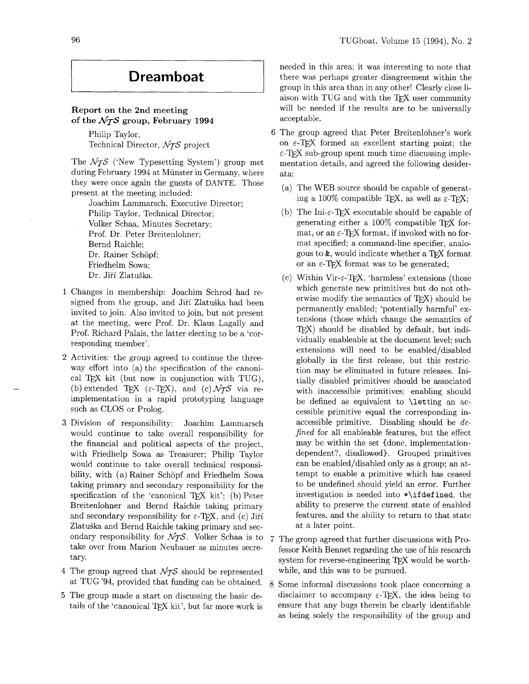## **Dreamboat**

### **Report on the 2nd meeting**  of the  $\mathcal{N}$ *TS* group, February 1994

Philip Taylor, Technical Director, *NTS* project

The *NTS* ('New Typesetting System') group met during February 1994 at Miinster in Germany, where they were once again the guests of DANTE. Those present at the meeting included:

Joachim Lammarsch, Executive Director; Philip Taylor, Technical Director; Volker Schaa, Minutes Secretary; Prof. Dr. Peter Breitenlohner; Bernd Raichle; Dr. Rainer Schöpf; Friedhelm Sowa; Dr. Jiří Zlatuška.

- 1 Changes in membership: Joachim Schrod had resigned from the group, and Jiří Zlatuška had been invited to join. Also invited to join, but not present. at the meeting, were Prof. Dr. Klaus Lagally and Prof. Richard Palais, the latter electing to be a 'corresponding member'.
- 2 Activities: the group agreed to continue the threeway effort into (a) the specification of the canonical T<sub>F</sub>X kit (but now in conjunction with TUG), (b) extended T<sub>E</sub>X ( $\varepsilon$ -T<sub>E</sub>X), and (c)  $\mathcal{N}_{\mathcal{T}}\mathcal{S}$  via reimplementation in a rapid prototyping language such as CLOS or Prolog.
- **3** Division of responsibility: Joachim Lammarsch would continue to take overall responsibility for the financial and political aspects of the project, with Friedhelp Sowa as Treasurer; Philip Taylor would continue to take overall technical responsibility, with (a) Rainer Schöpf and Friedhelm Sowa taking primary and secondary responsibility for the specification of the 'canonical T<sub>E</sub>X kit'; (b) Peter Breitenlohner and Bernd Raichle taking primary and secondary responsibility for  $\varepsilon$ -T<sub>E</sub>X, and (c) Jiří Zlatuška and Bernd Raichle taking primary and secondary responsibility for  $\mathcal{N}$ *TS*. Volker Schaa is to take over from Marion Neubauer as minutes secretary.
- 4 The group agreed that *NTS* should be represented at TUG '94, provided that funding can be obtained.
- 5 The group made a start on discussing the basic details of the 'canonical T<sub>E</sub>X kit', but far more work is

needed in this area; it was interesting to note that there was perhaps greater disagreement within the group in this area than in any other! Clearly close liaison with TUG and with the TEX user community will be needed if the results are to be universally acceptable.

- 6 The group agreed that Peter Breitenlohner's work on  $\varepsilon$ -T<sub>E</sub>X formed an excellent starting point; the  $\varepsilon$ -TFX sub-group spent much time discussing implementation details, and agreed the following desiderata:
	- (a) The WEB source should be capable of generating a 100% compatible T<sub>F</sub>X, as well as  $\varepsilon$ -T<sub>F</sub>X;
	- (b) The Ini- $\varepsilon$ -T<sub>F</sub>X executable should be capable of generating either a  $100\%$  compatible TFX format, or an  $\varepsilon$ -TFX format, if invoked with no format specified; a command-line specifier, analogous to  $\&$ , would indicate whether a TFX format or an  $\epsilon$ -T<sub>F</sub>X format was to be generated;
	- (c) Within Vir- $\varepsilon$ -T<sub>F</sub>X, 'harmless' extensions (those which generate new primitives but do not otherwise modify the semantics of  $T_{F}X$ ) should be permanently enabled; 'potentially harmful' extensions (those which change the semantics of TEX) should be disabled by default, but individually enableable at the document level; such extensions will need to be enabled/disabled globally in the first release, but this restriction may be eliminated in future releases. Initially disabled primitives should be associated with inaccessible primitives; enabling should be defined as equivalent to \letting an accessible primitive equal the corresponding inaccessible primitive. Disabling should be  $de$ fined for all enableable features, but the effect may be within the set {done, implementationdependent?, disallowed). Grouped primitives can be enabled/disabled only as a group; an attempt to enable a primitive which has ceased to be undefined should yield an error. Further investigation is needed into \*\if def ined, the ability to preserve the current state of enabled features, and the ability to return to that state at a later point.
- 7 The group agreed that further discussions with Professor Keith Bennet regarding the use of his research system for reverse-engineering TEX would be worthwhile, and this was to be pursued.
- 8 Some informal discussions took place concerning a disclaimer to accompany  $\varepsilon$ -T<sub>F</sub>X, the idea being to ensure that any bugs therein be clearly identifiable as being solely the responsibility of the group and